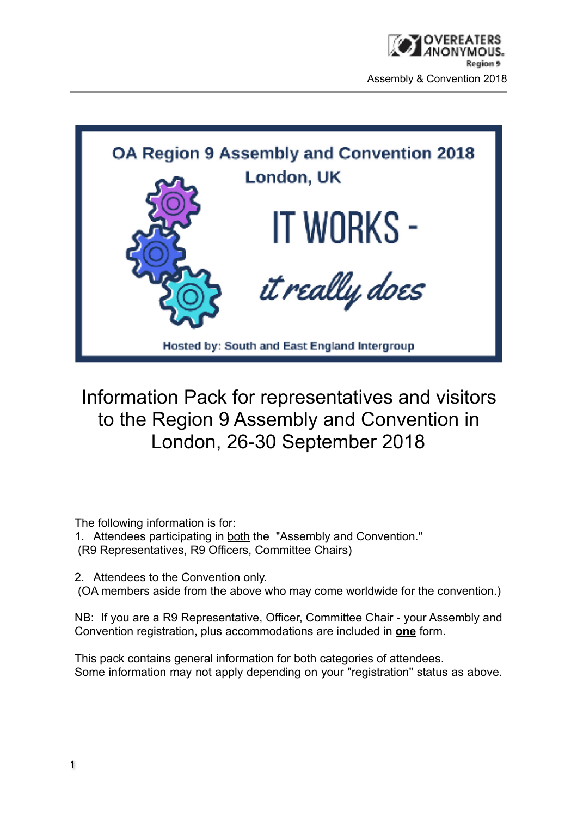

Information Pack for representatives and visitors to the Region 9 Assembly and Convention in London, 26-30 September 2018

The following information is for:

1. Attendees participating in both the "Assembly and Convention." (R9 Representatives, R9 Officers, Committee Chairs)

2. Attendees to the Convention only.

(OA members aside from the above who may come worldwide for the convention.)

NB: If you are a R9 Representative, Officer, Committee Chair - your Assembly and Convention registration, plus accommodations are included in **one** form.

This pack contains general information for both categories of attendees. Some information may not apply depending on your "registration" status as above.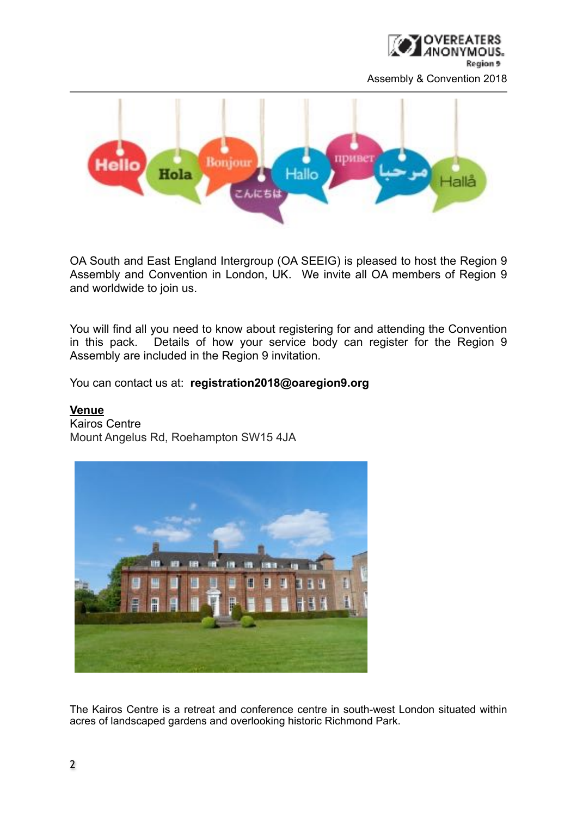



OA South and East England Intergroup (OA SEEIG) is pleased to host the Region 9 Assembly and Convention in London, UK. We invite all OA members of Region 9 and worldwide to join us.

You will find all you need to know about registering for and attending the Convention in this pack. Details of how your service body can register for the Region 9 Assembly are included in the Region 9 invitation.

You can contact us at: **registration2018@oaregion9.org**

#### **Venue**

Kairos Centre Mount Angelus Rd, Roehampton SW15 4JA



The Kairos Centre is a retreat and conference centre in south-west London situated within acres of landscaped gardens and overlooking historic Richmond Park.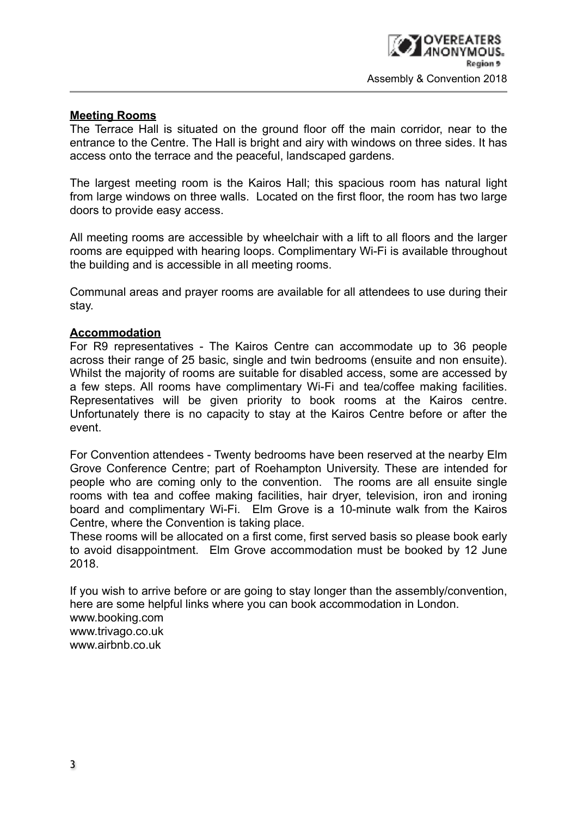# **Meeting Rooms**

The Terrace Hall is situated on the ground floor off the main corridor, near to the entrance to the Centre. The Hall is bright and airy with windows on three sides. It has access onto the terrace and the peaceful, landscaped gardens.

The largest meeting room is the Kairos Hall; this spacious room has natural light from large windows on three walls. Located on the first floor, the room has two large doors to provide easy access.

All meeting rooms are accessible by wheelchair with a lift to all floors and the larger rooms are equipped with hearing loops. Complimentary Wi-Fi is available throughout the building and is accessible in all meeting rooms.

Communal areas and prayer rooms are available for all attendees to use during their stay.

# **Accommodation**

For R9 representatives - The Kairos Centre can accommodate up to 36 people across their range of 25 basic, single and twin bedrooms (ensuite and non ensuite). Whilst the majority of rooms are suitable for disabled access, some are accessed by a few steps. All rooms have complimentary Wi-Fi and tea/coffee making facilities. Representatives will be given priority to book rooms at the Kairos centre. Unfortunately there is no capacity to stay at the Kairos Centre before or after the event.

For Convention attendees - Twenty bedrooms have been reserved at the nearby Elm Grove Conference Centre; part of Roehampton University. These are intended for people who are coming only to the convention. The rooms are all ensuite single rooms with tea and coffee making facilities, hair dryer, television, iron and ironing board and complimentary Wi-Fi. Elm Grove is a 10-minute walk from the Kairos Centre, where the Convention is taking place.

These rooms will be allocated on a first come, first served basis so please book early to avoid disappointment. Elm Grove accommodation must be booked by 12 June 2018.

If you wish to arrive before or are going to stay longer than the assembly/convention, here are some helpful links where you can book accommodation in London. www.booking.com www.trivago.co.uk www.airbnb.co.uk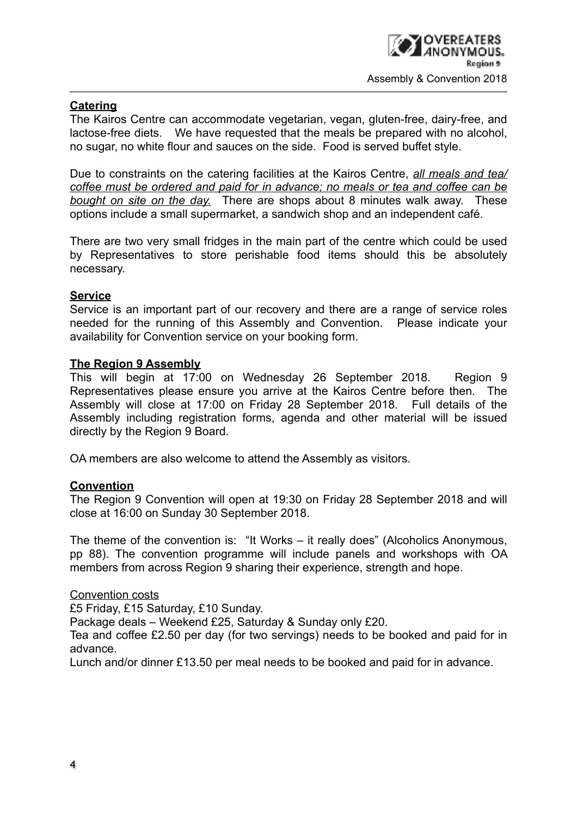# **Catering**

The Kairos Centre can accommodate vegetarian, vegan, gluten-free, dairy-free, and lactose-free diets. We have requested that the meals be prepared with no alcohol, no sugar, no white flour and sauces on the side. Food is served buffet style.

Due to constraints on the catering facilities at the Kairos Centre, *all meals and tea/ coffee must be ordered and paid for in advance; no meals or tea and coffee can be bought on site on the day.* There are shops about 8 minutes walk away. These options include a small supermarket, a sandwich shop and an independent café.

There are two very small fridges in the main part of the centre which could be used by Representatives to store perishable food items should this be absolutely necessary.

# **Service**

Service is an important part of our recovery and there are a range of service roles needed for the running of this Assembly and Convention. Please indicate your availability for Convention service on your booking form.

# **The Region 9 Assembly**

This will begin at 17:00 on Wednesday 26 September 2018. Region 9 Representatives please ensure you arrive at the Kairos Centre before then. The Assembly will close at 17:00 on Friday 28 September 2018. Full details of the Assembly including registration forms, agenda and other material will be issued directly by the Region 9 Board.

OA members are also welcome to attend the Assembly as visitors.

# **Convention**

The Region 9 Convention will open at 19:30 on Friday 28 September 2018 and will close at 16:00 on Sunday 30 September 2018.

The theme of the convention is: "It Works – it really does" (Alcoholics Anonymous, pp 88). The convention programme will include panels and workshops with OA members from across Region 9 sharing their experience, strength and hope.

Convention costs

£5 Friday, £15 Saturday, £10 Sunday.

Package deals – Weekend £25, Saturday & Sunday only £20.

Tea and coffee £2.50 per day (for two servings) needs to be booked and paid for in advance.

Lunch and/or dinner £13.50 per meal needs to be booked and paid for in advance.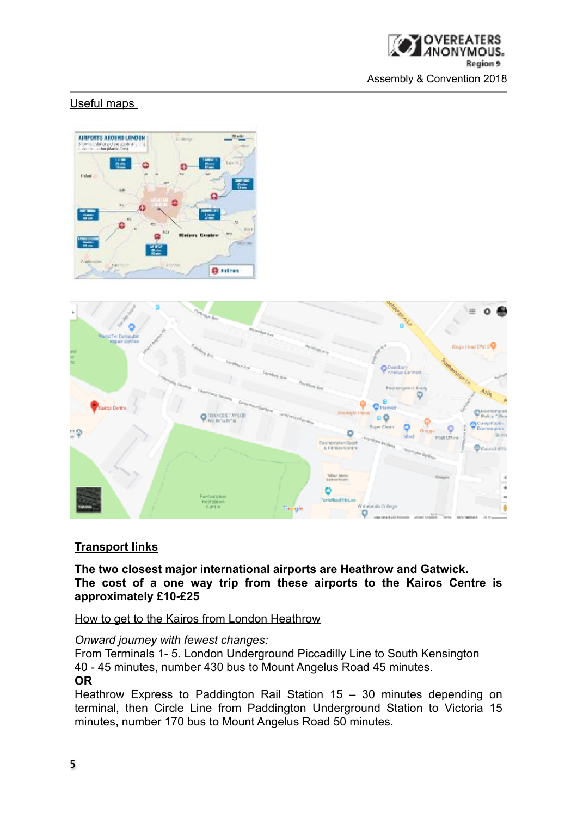

# Useful maps





# **Transport links**

**The two closest major international airports are Heathrow and Gatwick. The cost of a one way trip from these airports to the Kairos Centre is approximately £10-£25**

How to get to the Kairos from London Heathrow

#### *Onward journey with fewest changes:*

From Terminals 1- 5. London Underground Piccadilly Line to South Kensington 40 - 45 minutes, number 430 bus to Mount Angelus Road 45 minutes. **OR** 

Heathrow Express to Paddington Rail Station 15 – 30 minutes depending on terminal, then Circle Line from Paddington Underground Station to Victoria 15 minutes, number 170 bus to Mount Angelus Road 50 minutes.